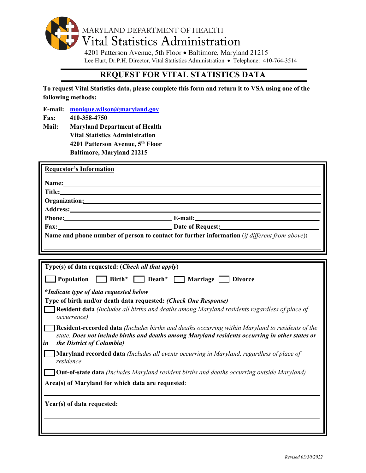

Lee Hurt, Dr.P.H. Director, Vital Statistics Administration • Telephone: 410-764-3514

## **REQUEST FOR VITAL STATISTICS DATA**

**To request Vital Statistics data, please complete this form and return it to VSA using one of the following methods:**

**E-mail: [monique.wilson@maryland.gov](mailto:monique.wilson@maryland.gov)**

- **Fax: 410-358-4750**
- **Mail: Maryland Department of Health Vital Statistics Administration 4201 Patterson Avenue, 5th Floor Baltimore, Maryland 21215**

| <b>Requestor's Information</b>                                                                                                                                                                                                                |
|-----------------------------------------------------------------------------------------------------------------------------------------------------------------------------------------------------------------------------------------------|
|                                                                                                                                                                                                                                               |
|                                                                                                                                                                                                                                               |
|                                                                                                                                                                                                                                               |
|                                                                                                                                                                                                                                               |
|                                                                                                                                                                                                                                               |
|                                                                                                                                                                                                                                               |
| Fax: Date of Request:                                                                                                                                                                                                                         |
| Name and phone number of person to contact for further information (if different from above):                                                                                                                                                 |
|                                                                                                                                                                                                                                               |
|                                                                                                                                                                                                                                               |
| Type(s) of data requested: (Check all that apply)                                                                                                                                                                                             |
| Population Birth* Death* Marriage Divorce                                                                                                                                                                                                     |
| *Indicate type of data requested below                                                                                                                                                                                                        |
| Type of birth and/or death data requested: (Check One Response)                                                                                                                                                                               |
| <b>Resident data</b> (Includes all births and deaths among Maryland residents regardless of place of<br>occurrence)                                                                                                                           |
| <b>Resident-recorded data</b> (Includes births and deaths occurring within Maryland to residents of the<br>state. Does not include births and deaths among Maryland residents occurring in other states or<br>the District of Columbia)<br>in |
| Maryland recorded data (Includes all events occurring in Maryland, regardless of place of<br>residence                                                                                                                                        |
| <b>Out-of-state data</b> (Includes Maryland resident births and deaths occurring outside Maryland)                                                                                                                                            |
| Area(s) of Maryland for which data are requested:                                                                                                                                                                                             |
| Year(s) of data requested:                                                                                                                                                                                                                    |